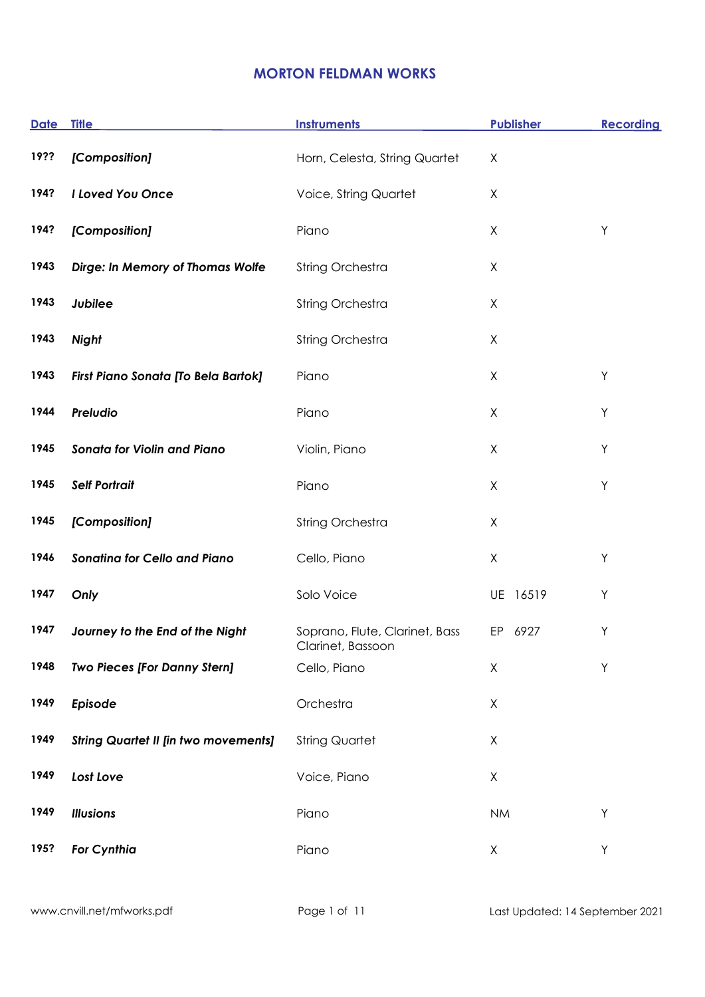## **MORTON FELDMAN WORKS**

| <b>Date</b> | <b>Title</b>                                | <b>Instruments</b>                                  | <b>Publisher</b> | <b>Recording</b> |
|-------------|---------------------------------------------|-----------------------------------------------------|------------------|------------------|
| 19??        | [Composition]                               | Horn, Celesta, String Quartet                       | Χ                |                  |
| 194?        | I Loved You Once                            | Voice, String Quartet                               | X                |                  |
| 194?        | [Composition]                               | Piano                                               | Χ                | Υ                |
| 1943        | Dirge: In Memory of Thomas Wolfe            | String Orchestra                                    | Χ                |                  |
| 1943        | Jubilee                                     | String Orchestra                                    | X                |                  |
| 1943        | <b>Night</b>                                | String Orchestra                                    | X                |                  |
| 1943        | First Piano Sonata [To Bela Bartok]         | Piano                                               | X                | Y                |
| 1944        | Preludio                                    | Piano                                               | X                | Υ                |
| 1945        | <b>Sonata for Violin and Piano</b>          | Violin, Piano                                       | Χ                | Υ                |
| 1945        | <b>Self Portrait</b>                        | Piano                                               | X                | Y                |
| 1945        | [Composition]                               | String Orchestra                                    | Χ                |                  |
| 1946        | <b>Sonatina for Cello and Piano</b>         | Cello, Piano                                        | $\mathsf X$      | Υ                |
| 1947        | Only                                        | Solo Voice                                          | UE 16519         | Υ                |
| 1947        | Journey to the End of the Night             | Soprano, Flute, Clarinet, Bass<br>Clarinet, Bassoon | EP 6927          | Υ                |
| 1948        | <b>Two Pieces [For Danny Stern]</b>         | Cello, Piano                                        | X                | Y                |
| 1949        | Episode                                     | Orchestra                                           | X                |                  |
| 1949        | <b>String Quartet II [in two movements]</b> | <b>String Quartet</b>                               | Χ                |                  |
| 1949        | Lost Love                                   | Voice, Piano                                        | Χ                |                  |
| 1949        | <b>Illusions</b>                            | Piano                                               | <b>NM</b>        | Y                |
| 195?        | <b>For Cynthia</b>                          | Piano                                               | X                | Y                |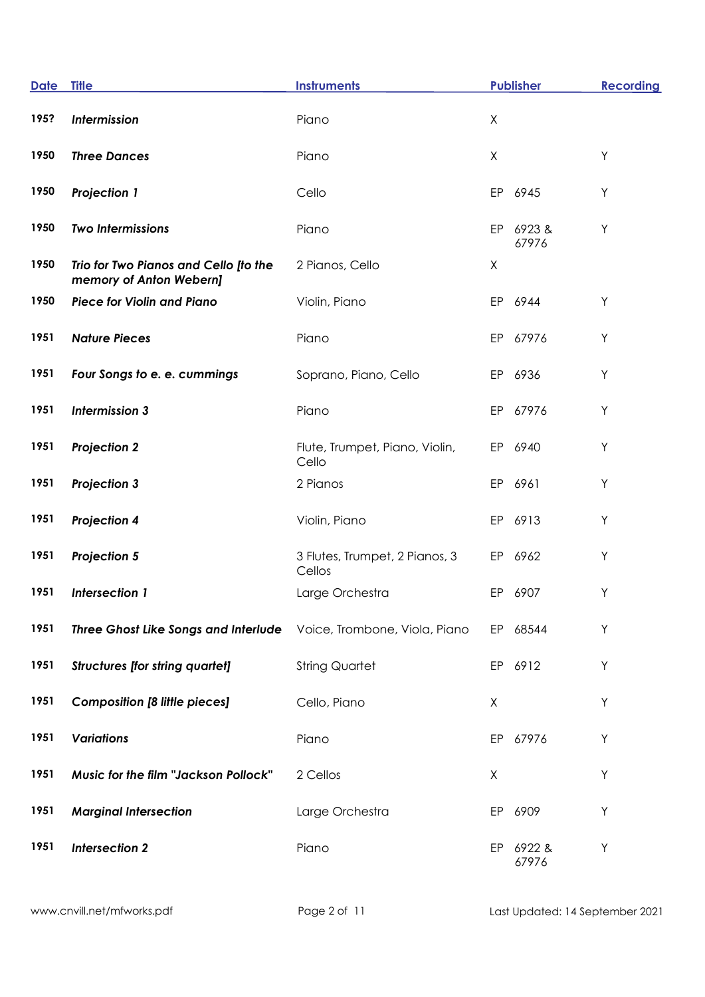| <b>Date</b> | <b>Title</b>                                                       | <b>Instruments</b>                       |    | <b>Publisher</b>   | <b>Recording</b> |
|-------------|--------------------------------------------------------------------|------------------------------------------|----|--------------------|------------------|
| 195?        | Intermission                                                       | Piano                                    | X  |                    |                  |
| 1950        | <b>Three Dances</b>                                                | Piano                                    | X  |                    | Y                |
| 1950        | <b>Projection 1</b>                                                | Cello                                    | EP | 6945               | Y                |
| 1950        | <b>Two Intermissions</b>                                           | Piano                                    | EP | 6923&<br>67976     | Υ                |
| 1950        | Trio for Two Pianos and Cello [to the<br>memory of Anton Webern]   | 2 Pianos, Cello                          | X  |                    |                  |
| 1950        | <b>Piece for Violin and Piano</b>                                  | Violin, Piano                            | EP | 6944               | Υ                |
| 1951        | <b>Nature Pieces</b>                                               | Piano                                    |    | EP 67976           | Υ                |
| 1951        | Four Songs to e. e. cummings                                       | Soprano, Piano, Cello                    | EP | 6936               | Y                |
| 1951        | <b>Intermission 3</b>                                              | Piano                                    |    | EP 67976           | Y                |
| 1951        | <b>Projection 2</b>                                                | Flute, Trumpet, Piano, Violin,<br>Cello  | EP | 6940               | Υ                |
| 1951        | <b>Projection 3</b>                                                | 2 Pianos                                 |    | EP 6961            | Y                |
| 1951        | <b>Projection 4</b>                                                | Violin, Piano                            |    | EP 6913            | Υ                |
| 1951        | <b>Projection 5</b>                                                | 3 Flutes, Trumpet, 2 Pianos, 3<br>Cellos |    | EP 6962            | Υ                |
| 1951        | <b>Intersection 1</b>                                              | Large Orchestra                          | EP | 6907               | Υ                |
| 1951        | Three Ghost Like Songs and Interlude Voice, Trombone, Viola, Piano |                                          |    | EP 68544           | Y                |
| 1951        | <b>Structures [for string quartet]</b>                             | <b>String Quartet</b>                    |    | EP 6912            | Y                |
| 1951        | <b>Composition [8 little pieces]</b>                               | Cello, Piano                             | X  |                    | Y                |
| 1951        | <b>Variations</b>                                                  | Piano                                    |    | EP 67976           | Y                |
| 1951        | Music for the film "Jackson Pollock"                               | 2 Cellos                                 | X  |                    | Υ                |
| 1951        | <b>Marginal Intersection</b>                                       | Large Orchestra                          | EP | 6909               | Υ                |
| 1951        | <b>Intersection 2</b>                                              | Piano                                    |    | EP 6922 &<br>67976 | Υ                |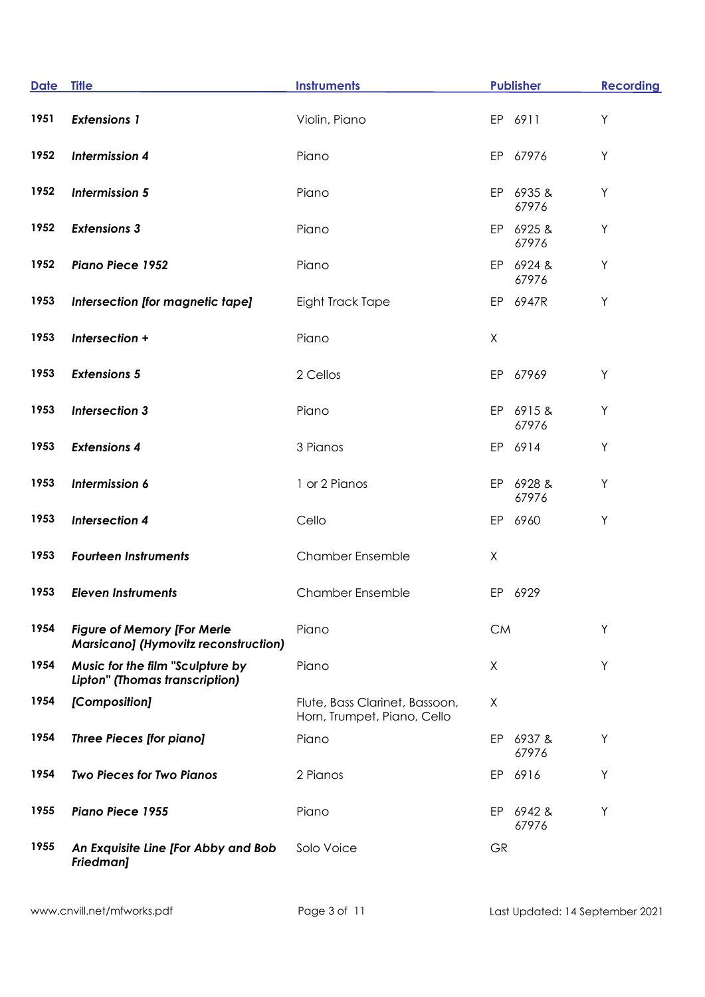| <b>Date</b> | <b>Title</b>                                                                      | <b>Instruments</b>                                            |           | <b>Publisher</b>   | <b>Recording</b> |
|-------------|-----------------------------------------------------------------------------------|---------------------------------------------------------------|-----------|--------------------|------------------|
| 1951        | <b>Extensions 1</b>                                                               | Violin, Piano                                                 |           | EP 6911            | $\sf Y$          |
| 1952        | <b>Intermission 4</b>                                                             | Piano                                                         |           | EP 67976           | Y                |
| 1952        | <b>Intermission 5</b>                                                             | Piano                                                         |           | EP 6935 &<br>67976 | Υ                |
| 1952        | <b>Extensions 3</b>                                                               | Piano                                                         |           | EP 6925 &<br>67976 | Y                |
| 1952        | <b>Piano Piece 1952</b>                                                           | Piano                                                         |           | EP 6924 &<br>67976 | Υ                |
| 1953        | Intersection [for magnetic tape]                                                  | Eight Track Tape                                              |           | EP 6947R           | Y                |
| 1953        | Intersection +                                                                    | Piano                                                         | X         |                    |                  |
| 1953        | <b>Extensions 5</b>                                                               | 2 Cellos                                                      |           | EP 67969           | Υ                |
| 1953        | <b>Intersection 3</b>                                                             | Piano                                                         |           | EP 6915&<br>67976  | Υ                |
| 1953        | <b>Extensions 4</b>                                                               | 3 Pianos                                                      |           | EP 6914            | Υ                |
| 1953        | Intermission 6                                                                    | 1 or 2 Pianos                                                 |           | EP 6928 &<br>67976 | Υ                |
| 1953        | <b>Intersection 4</b>                                                             | Cello                                                         |           | EP 6960            | Υ                |
| 1953        | <b>Fourteen Instruments</b>                                                       | <b>Chamber Ensemble</b>                                       | X         |                    |                  |
| 1953        | <b>Eleven Instruments</b>                                                         | <b>Chamber Ensemble</b>                                       | EP        | 6929               |                  |
| 1954        | <b>Figure of Memory [For Merle</b><br><b>Marsicano] (Hymovitz reconstruction)</b> | Piano                                                         | <b>CM</b> |                    | Υ                |
| 1954        | Music for the film "Sculpture by<br>Lipton" (Thomas transcription)                | Piano                                                         | X         |                    | Y                |
| 1954        | [Composition]                                                                     | Flute, Bass Clarinet, Bassoon,<br>Horn, Trumpet, Piano, Cello | X         |                    |                  |
| 1954        | <b>Three Pieces [for piano]</b>                                                   | Piano                                                         |           | EP 6937 &<br>67976 | Y                |
| 1954        | <b>Two Pieces for Two Pianos</b>                                                  | 2 Pianos                                                      |           | EP 6916            | Υ                |
| 1955        | <b>Piano Piece 1955</b>                                                           | Piano                                                         |           | EP 6942 &<br>67976 | Y                |
| 1955        | An Exquisite Line [For Abby and Bob<br><b>Friedman]</b>                           | Solo Voice                                                    | <b>GR</b> |                    |                  |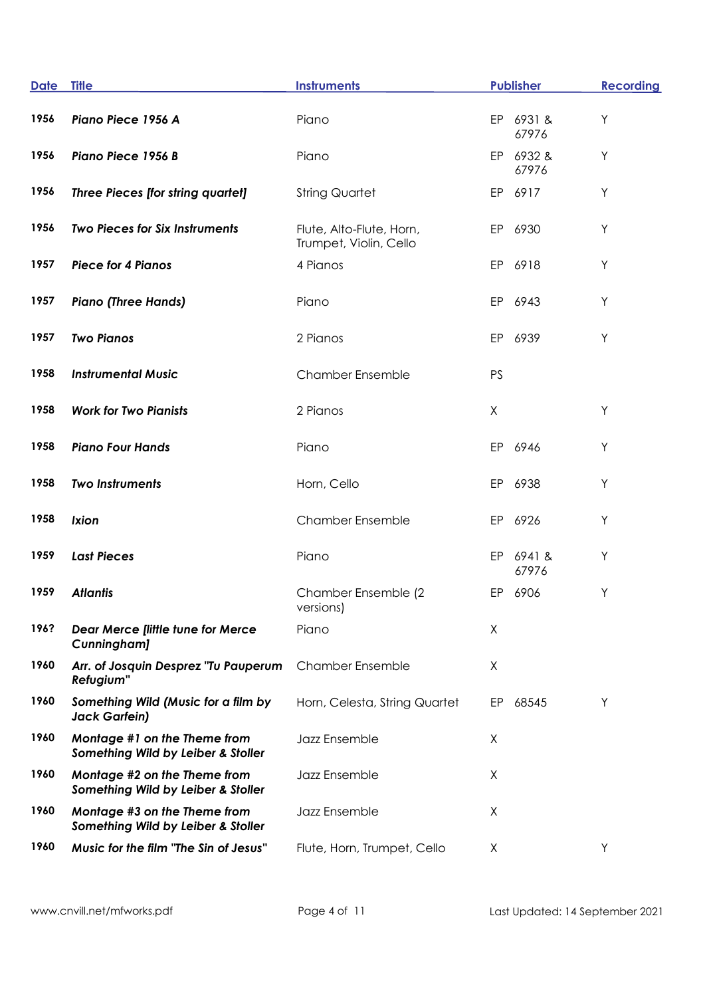| <b>Date</b> | <b>Title</b>                                                       | <b>Instruments</b>                                 |    | <b>Publisher</b>   | <b>Recording</b> |
|-------------|--------------------------------------------------------------------|----------------------------------------------------|----|--------------------|------------------|
| 1956        | Piano Piece 1956 A                                                 | Piano                                              |    | EP 6931 &<br>67976 | Υ                |
| 1956        | Piano Piece 1956 B                                                 | Piano                                              |    | EP 6932 &<br>67976 | Υ                |
| 1956        | Three Pieces [for string quartet]                                  | <b>String Quartet</b>                              |    | EP 6917            | Y                |
| 1956        | <b>Two Pieces for Six Instruments</b>                              | Flute, Alto-Flute, Horn,<br>Trumpet, Violin, Cello |    | EP 6930            | Y                |
| 1957        | <b>Piece for 4 Pianos</b>                                          | 4 Pianos                                           | EP | 6918               | Υ                |
| 1957        | <b>Piano (Three Hands)</b>                                         | Piano                                              |    | EP 6943            | Υ                |
| 1957        | <b>Two Pianos</b>                                                  | 2 Pianos                                           | EP | 6939               | Υ                |
| 1958        | <b>Instrumental Music</b>                                          | <b>Chamber Ensemble</b>                            | PS |                    |                  |
| 1958        | <b>Work for Two Pianists</b>                                       | 2 Pianos                                           | X  |                    | Υ                |
| 1958        | <b>Piano Four Hands</b>                                            | Piano                                              | EP | 6946               | Υ                |
| 1958        | <b>Two Instruments</b>                                             | Horn, Cello                                        | EP | 6938               | Y                |
| 1958        | <b>Ixion</b>                                                       | <b>Chamber Ensemble</b>                            |    | EP 6926            | Υ                |
| 1959        | <b>Last Pieces</b>                                                 | Piano                                              |    | EP 6941 &<br>67976 | Υ                |
| 1959        | <b>Atlantis</b>                                                    | Chamber Ensemble (2<br>versions)                   |    | EP 6906            | Υ                |
| 196?        | <b>Dear Merce [little tune for Merce</b><br>Cunningham]            | Piano                                              | Χ  |                    |                  |
| 1960        | Arr. of Josquin Desprez "Tu Pauperum<br>Refugium"                  | <b>Chamber Ensemble</b>                            | X  |                    |                  |
| 1960        | Something Wild (Music for a film by<br><b>Jack Garfein)</b>        | Horn, Celesta, String Quartet                      | EP | 68545              | Υ                |
| 1960        | Montage #1 on the Theme from<br>Something Wild by Leiber & Stoller | Jazz Ensemble                                      | Χ  |                    |                  |
| 1960        | Montage #2 on the Theme from<br>Something Wild by Leiber & Stoller | Jazz Ensemble                                      | X  |                    |                  |
| 1960        | Montage #3 on the Theme from<br>Something Wild by Leiber & Stoller | Jazz Ensemble                                      | X  |                    |                  |
| 1960        | Music for the film "The Sin of Jesus"                              | Flute, Horn, Trumpet, Cello                        | X  |                    | Υ                |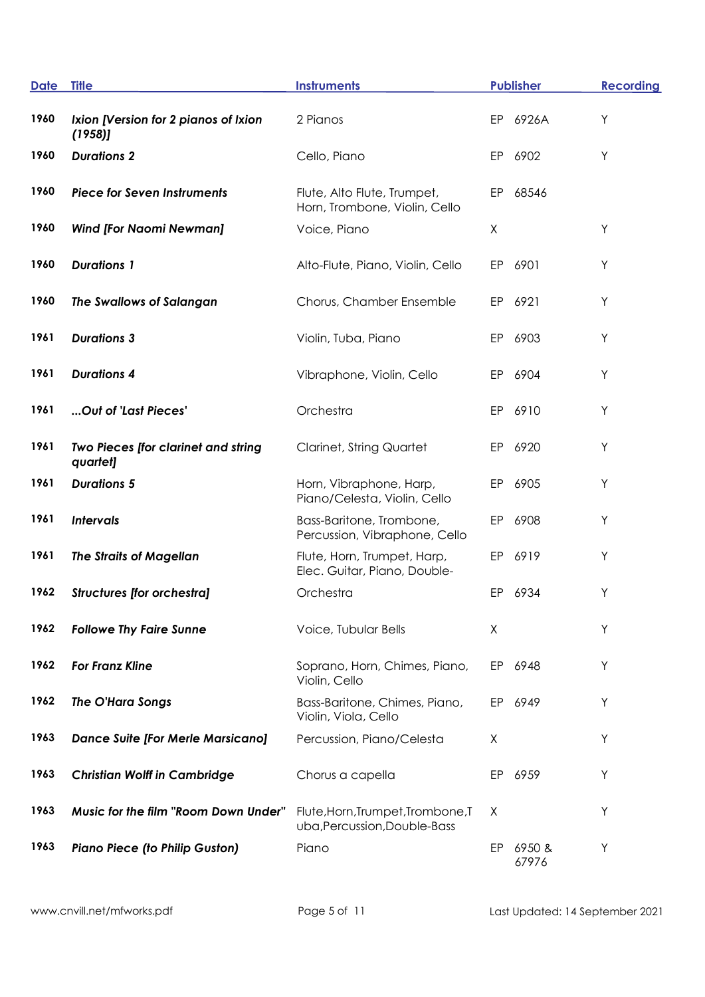| <b>Date</b> | <b>Title</b>                                    | <b>Instruments</b>                                                |    | <b>Publisher</b> | <b>Recording</b> |
|-------------|-------------------------------------------------|-------------------------------------------------------------------|----|------------------|------------------|
| 1960        | Ixion [Version for 2 pianos of Ixion<br>(1958)  | 2 Pianos                                                          | EP | 6926A            | Υ                |
| 1960        | <b>Durations 2</b>                              | Cello, Piano                                                      | EP | 6902             | Y                |
| 1960        | <b>Piece for Seven Instruments</b>              | Flute, Alto Flute, Trumpet,<br>Horn, Trombone, Violin, Cello      | EP | 68546            |                  |
| 1960        | <b>Wind [For Naomi Newman]</b>                  | Voice, Piano                                                      | X  |                  | Υ                |
| 1960        | <b>Durations 1</b>                              | Alto-Flute, Piano, Violin, Cello                                  | EP | 6901             | Υ                |
| 1960        | <b>The Swallows of Salangan</b>                 | Chorus, Chamber Ensemble                                          | EP | 6921             | Υ                |
| 1961        | <b>Durations 3</b>                              | Violin, Tuba, Piano                                               | EP | 6903             | Υ                |
| 1961        | <b>Durations 4</b>                              | Vibraphone, Violin, Cello                                         | EP | 6904             | Y                |
| 1961        | Out of 'Last Pieces'                            | Orchestra                                                         | EP | 6910             | Y                |
| 1961        | Two Pieces [for clarinet and string<br>quartet] | <b>Clarinet, String Quartet</b>                                   | EP | 6920             | Y                |
| 1961        | <b>Durations 5</b>                              | Horn, Vibraphone, Harp,<br>Piano/Celesta, Violin, Cello           | EP | 6905             | Y                |
| 1961        | <b>Intervals</b>                                | Bass-Baritone, Trombone,<br>Percussion, Vibraphone, Cello         | EP | 6908             | Υ                |
| 1961        | <b>The Straits of Magellan</b>                  | Flute, Horn, Trumpet, Harp,<br>Elec. Guitar, Piano, Double-       | EP | 6919             | Υ                |
| 1962        | <b>Structures [for orchestra]</b>               | Orchestra                                                         | EP | 6934             | Υ                |
| 1962        | <b>Followe Thy Faire Sunne</b>                  | Voice, Tubular Bells                                              | Χ  |                  | Υ                |
| 1962        | <b>For Franz Kline</b>                          | Soprano, Horn, Chimes, Piano,<br>Violin, Cello                    |    | EP 6948          | Y                |
| 1962        | The O'Hara Songs                                | Bass-Baritone, Chimes, Piano,<br>Violin, Viola, Cello             | EP | 6949             | Y                |
| 1963        | <b>Dance Suite [For Merle Marsicano]</b>        | Percussion, Piano/Celesta                                         | X  |                  | Y                |
| 1963        | <b>Christian Wolff in Cambridge</b>             | Chorus a capella                                                  | EP | 6959             | Y                |
| 1963        | Music for the film "Room Down Under"            | Flute, Horn, Trumpet, Trombone, T<br>uba, Percussion, Double-Bass | X  |                  | Υ                |
| 1963        | <b>Piano Piece (to Philip Guston)</b>           | Piano                                                             | EP | 6950&<br>67976   | Υ                |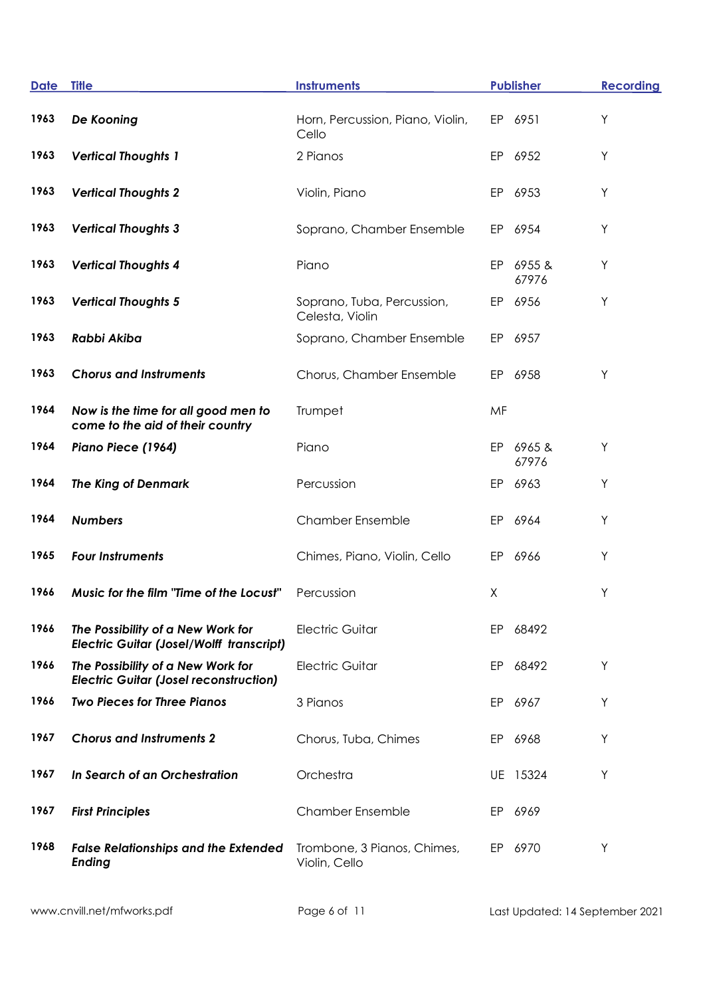| <b>Date</b> | <b>Title</b>                                                                         | <b>Instruments</b>                            |    | <b>Publisher</b> | <b>Recording</b> |
|-------------|--------------------------------------------------------------------------------------|-----------------------------------------------|----|------------------|------------------|
| 1963        | De Kooning                                                                           | Horn, Percussion, Piano, Violin,<br>Cello     |    | EP 6951          | Υ                |
| 1963        | <b>Vertical Thoughts 1</b>                                                           | 2 Pianos                                      | EP | 6952             | Y                |
| 1963        | <b>Vertical Thoughts 2</b>                                                           | Violin, Piano                                 | EP | 6953             | Υ                |
| 1963        | <b>Vertical Thoughts 3</b>                                                           | Soprano, Chamber Ensemble                     |    | EP 6954          | Y                |
| 1963        | <b>Vertical Thoughts 4</b>                                                           | Piano                                         | EP | 6955 &<br>67976  | Y                |
| 1963        | <b>Vertical Thoughts 5</b>                                                           | Soprano, Tuba, Percussion,<br>Celesta, Violin | EP | 6956             | Υ                |
| 1963        | <b>Rabbi Akiba</b>                                                                   | Soprano, Chamber Ensemble                     | EP | 6957             |                  |
| 1963        | <b>Chorus and Instruments</b>                                                        | Chorus, Chamber Ensemble                      | EP | 6958             | Υ                |
| 1964        | Now is the time for all good men to<br>come to the aid of their country              | Trumpet                                       | MF |                  |                  |
| 1964        | Piano Piece (1964)                                                                   | Piano                                         | EP | 6965&<br>67976   | Υ                |
| 1964        | <b>The King of Denmark</b>                                                           | Percussion                                    |    | EP 6963          | Υ                |
| 1964        | <b>Numbers</b>                                                                       | <b>Chamber Ensemble</b>                       | EP | 6964             | Υ                |
| 1965        | <b>Four Instruments</b>                                                              | Chimes, Piano, Violin, Cello                  | EP | 6966             | Υ                |
| 1966        | Music for the film "Time of the Locust"                                              | Percussion                                    | X  |                  | Υ                |
| 1966        | The Possibility of a New Work for<br><b>Electric Guitar (Josel/Wolff transcript)</b> | <b>Electric Guitar</b>                        |    | EP 68492         |                  |
| 1966        | The Possibility of a New Work for<br><b>Electric Guitar (Josel reconstruction)</b>   | <b>Electric Guitar</b>                        | EP | 68492            | Y                |
| 1966        | <b>Two Pieces for Three Pianos</b>                                                   | 3 Pianos                                      |    | EP 6967          | Υ                |
| 1967        | <b>Chorus and Instruments 2</b>                                                      | Chorus, Tuba, Chimes                          |    | EP 6968          | Υ                |
| 1967        | In Search of an Orchestration                                                        | Orchestra                                     |    | UE 15324         | Υ                |
| 1967        | <b>First Principles</b>                                                              | <b>Chamber Ensemble</b>                       | EP | 6969             |                  |
| 1968        | <b>False Relationships and the Extended</b><br><b>Ending</b>                         | Trombone, 3 Pianos, Chimes,<br>Violin, Cello  |    | EP 6970          | Υ                |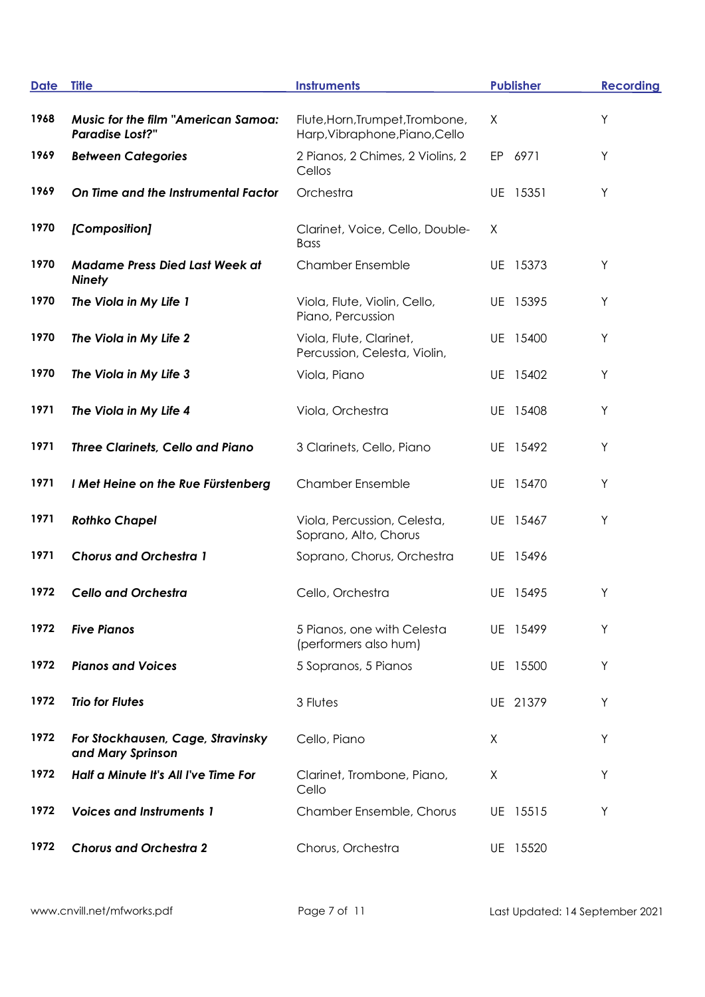| <b>Date</b> | <b>Title</b>                                                         | <b>Instruments</b>                                                | <b>Publisher</b> | <b>Recording</b> |
|-------------|----------------------------------------------------------------------|-------------------------------------------------------------------|------------------|------------------|
| 1968        | <b>Music for the film "American Samoa:</b><br><b>Paradise Lost?"</b> | Flute, Horn, Trumpet, Trombone,<br>Harp, Vibraphone, Piano, Cello | X                | Υ                |
| 1969        | <b>Between Categories</b>                                            | 2 Pianos, 2 Chimes, 2 Violins, 2<br>Cellos                        | EP 6971          | Υ                |
| 1969        | On Time and the Instrumental Factor                                  | Orchestra                                                         | UE 15351         | Υ                |
| 1970        | [Composition]                                                        | Clarinet, Voice, Cello, Double-<br><b>Bass</b>                    | Χ                |                  |
| 1970        | <b>Madame Press Died Last Week at</b><br><b>Ninety</b>               | <b>Chamber Ensemble</b>                                           | UE 15373         | Υ                |
| 1970        | The Viola in My Life 1                                               | Viola, Flute, Violin, Cello,<br>Piano, Percussion                 | UE 15395         | Υ                |
| 1970        | The Viola in My Life 2                                               | Viola, Flute, Clarinet,<br>Percussion, Celesta, Violin,           | UE 15400         | Υ                |
| 1970        | The Viola in My Life 3                                               | Viola, Piano                                                      | UE 15402         | Υ                |
| 1971        | The Viola in My Life 4                                               | Viola, Orchestra                                                  | UE 15408         | Υ                |
| 1971        | <b>Three Clarinets, Cello and Piano</b>                              | 3 Clarinets, Cello, Piano                                         | UE 15492         | Υ                |
| 1971        | I Met Heine on the Rue Fürstenberg                                   | <b>Chamber Ensemble</b>                                           | UE 15470         | Υ                |
| 1971        | <b>Rothko Chapel</b>                                                 | Viola, Percussion, Celesta,<br>Soprano, Alto, Chorus              | UE 15467         | Υ                |
| 1971        | <b>Chorus and Orchestra 1</b>                                        | Soprano, Chorus, Orchestra                                        | UE 15496         |                  |
| 1972        | <b>Cello and Orchestra</b>                                           | Cello, Orchestra                                                  | UE 15495         | Υ                |
| 1972        | <b>Five Pianos</b>                                                   | 5 Pianos, one with Celesta<br>(performers also hum)               | UE 15499         | Υ                |
| 1972        | <b>Pianos and Voices</b>                                             | 5 Sopranos, 5 Pianos                                              | UE 15500         | Υ                |
| 1972        | <b>Trio for Flutes</b>                                               | 3 Flutes                                                          | UE 21379         | Υ                |
| 1972        | For Stockhausen, Cage, Stravinsky<br>and Mary Sprinson               | Cello, Piano                                                      | Χ                | Υ                |
| 1972        | Half a Minute It's All I've Time For                                 | Clarinet, Trombone, Piano,<br>Cello                               | X                | Υ                |
| 1972        | <b>Voices and Instruments 1</b>                                      | Chamber Ensemble, Chorus                                          | UE 15515         | Υ                |
| 1972        | <b>Chorus and Orchestra 2</b>                                        | Chorus, Orchestra                                                 | UE 15520         |                  |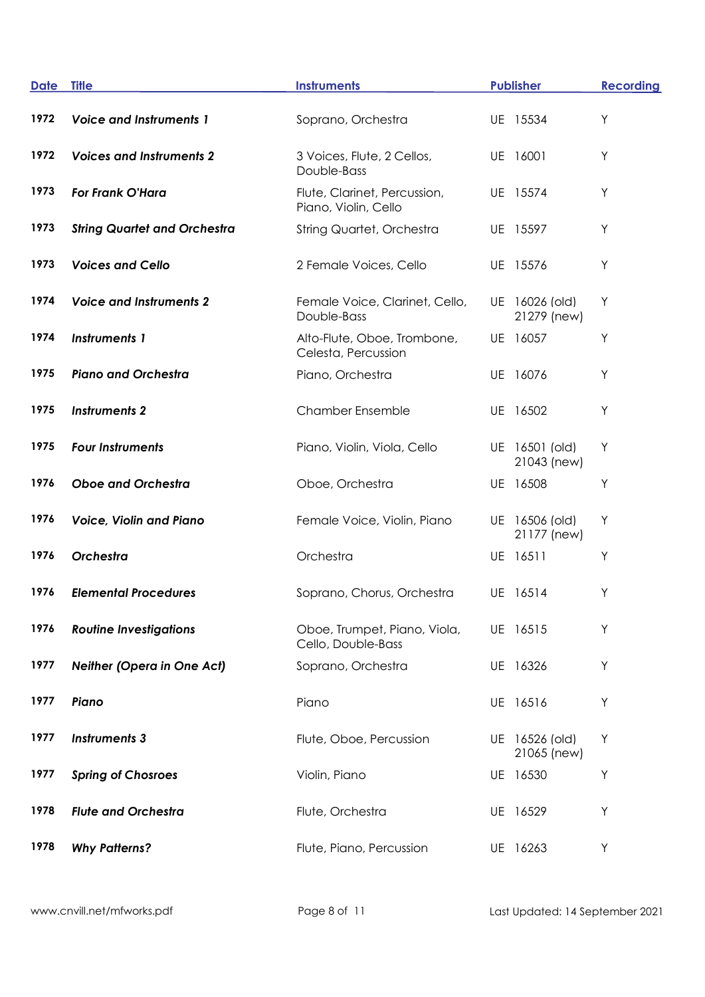| <b>Date</b> | <b>Title</b>                        | <b>Instruments</b>                                   | <b>Publisher</b>              | <b>Recording</b> |
|-------------|-------------------------------------|------------------------------------------------------|-------------------------------|------------------|
| 1972        | <b>Voice and Instruments 1</b>      | Soprano, Orchestra                                   | UE 15534                      | Υ                |
| 1972        | <b>Voices and Instruments 2</b>     | 3 Voices, Flute, 2 Cellos,<br>Double-Bass            | UE 16001                      | Υ                |
| 1973        | <b>For Frank O'Hara</b>             | Flute, Clarinet, Percussion,<br>Piano, Violin, Cello | UE 15574                      | Y                |
| 1973        | <b>String Quartet and Orchestra</b> | <b>String Quartet, Orchestra</b>                     | UE 15597                      | Y                |
| 1973        | <b>Voices and Cello</b>             | 2 Female Voices, Cello                               | UE 15576                      | Υ                |
| 1974        | <b>Voice and Instruments 2</b>      | Female Voice, Clarinet, Cello,<br>Double-Bass        | UE 16026 (old)<br>21279 (new) | Υ                |
| 1974        | <b>Instruments 1</b>                | Alto-Flute, Oboe, Trombone,<br>Celesta, Percussion   | UE 16057                      | Y                |
| 1975        | <b>Piano and Orchestra</b>          | Piano, Orchestra                                     | UE 16076                      | Y                |
| 1975        | <b>Instruments 2</b>                | <b>Chamber Ensemble</b>                              | UE 16502                      | Υ                |
| 1975        | <b>Four Instruments</b>             | Piano, Violin, Viola, Cello                          | UE 16501 (old)<br>21043 (new) | Y                |
| 1976        | <b>Oboe and Orchestra</b>           | Oboe, Orchestra                                      | UE 16508                      | Υ                |
| 1976        | <b>Voice, Violin and Piano</b>      | Female Voice, Violin, Piano                          | UE 16506 (old)<br>21177 (new) | Υ                |
| 1976        | Orchestra                           | Orchestra                                            | UE 16511                      | Υ                |
| 1976        | <b>Elemental Procedures</b>         | Soprano, Chorus, Orchestra                           | UE 16514                      | Υ                |
| 1976        | <b>Routine Investigations</b>       | Oboe, Trumpet, Piano, Viola,<br>Cello, Double-Bass   | UE 16515                      | Υ                |
| 1977        | <b>Neither (Opera in One Act)</b>   | Soprano, Orchestra                                   | UE 16326                      | Υ                |
| 1977        | Piano                               | Piano                                                | UE 16516                      | Υ                |
| 1977        | <b>Instruments 3</b>                | Flute, Oboe, Percussion                              | UE 16526 (old)<br>21065 (new) | Y                |
| 1977        | <b>Spring of Chosroes</b>           | Violin, Piano                                        | UE 16530                      | Υ                |
| 1978        | <b>Flute and Orchestra</b>          | Flute, Orchestra                                     | UE 16529                      | Υ                |
| 1978        | <b>Why Patterns?</b>                | Flute, Piano, Percussion                             | UE 16263                      | Υ                |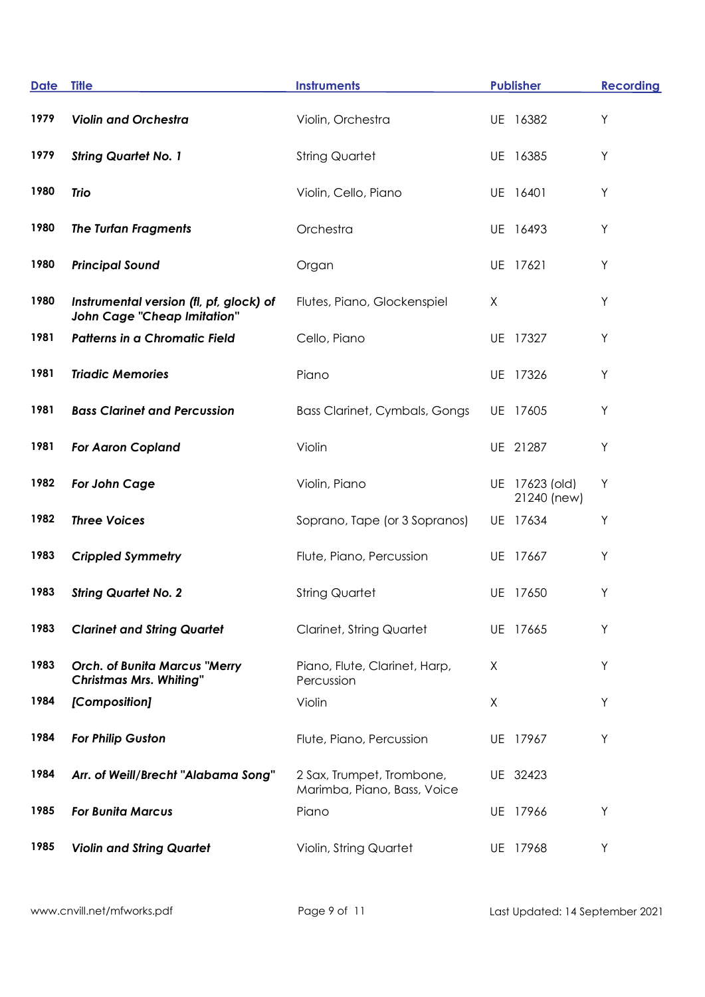| <b>Date</b> | <b>Title</b>                                                                  | <b>Instruments</b>                                       | <b>Publisher</b> |                               | <b>Recording</b> |
|-------------|-------------------------------------------------------------------------------|----------------------------------------------------------|------------------|-------------------------------|------------------|
| 1979        | <b>Violin and Orchestra</b>                                                   | Violin, Orchestra                                        | UE 16382         |                               | Y                |
| 1979        | <b>String Quartet No. 1</b>                                                   | <b>String Quartet</b>                                    | UE 16385         |                               | Y                |
| 1980        | <b>Trio</b>                                                                   | Violin, Cello, Piano                                     | UE 16401         |                               | Y                |
| 1980        | <b>The Turfan Fragments</b>                                                   | Orchestra                                                | UE 16493         |                               | Υ                |
| 1980        | <b>Principal Sound</b>                                                        | Organ                                                    | UE 17621         |                               | Y                |
| 1980        | Instrumental version (fl, pf, glock) of<br><b>John Cage "Cheap Imitation"</b> | Flutes, Piano, Glockenspiel                              | X                |                               | Y                |
| 1981        | Patterns in a Chromatic Field                                                 | Cello, Piano                                             | UE 17327         |                               | Y                |
| 1981        | <b>Triadic Memories</b>                                                       | Piano                                                    | UE 17326         |                               | Y                |
| 1981        | <b>Bass Clarinet and Percussion</b>                                           | <b>Bass Clarinet, Cymbals, Gongs</b>                     | UE 17605         |                               | Y                |
| 1981        | <b>For Aaron Copland</b>                                                      | Violin                                                   | UE 21287         |                               | Y                |
| 1982        | For John Cage                                                                 | Violin, Piano                                            |                  | UE 17623 (old)<br>21240 (new) | Υ                |
| 1982        | <b>Three Voices</b>                                                           | Soprano, Tape (or 3 Sopranos)                            | UE 17634         |                               | Υ                |
| 1983        | <b>Crippled Symmetry</b>                                                      | Flute, Piano, Percussion                                 | UE 17667         |                               | Y                |
| 1983        | <b>String Quartet No. 2</b>                                                   | <b>String Quartet</b>                                    | UE 17650         |                               | Y                |
| 1983        | <b>Clarinet and String Quartet</b>                                            | Clarinet, String Quartet                                 | UE 17665         |                               | Y                |
| 1983        | <b>Orch. of Bunita Marcus "Merry</b><br><b>Christmas Mrs. Whiting"</b>        | Piano, Flute, Clarinet, Harp,<br>Percussion              | Χ                |                               | Y                |
| 1984        | [Composition]                                                                 | Violin                                                   | X                |                               | Y                |
| 1984        | For Philip Guston                                                             | Flute, Piano, Percussion                                 | UE 17967         |                               | Y                |
| 1984        | Arr. of Weill/Brecht "Alabama Song"                                           | 2 Sax, Trumpet, Trombone,<br>Marimba, Piano, Bass, Voice | UE 32423         |                               |                  |
| 1985        | <b>For Bunita Marcus</b>                                                      | Piano                                                    | UE 17966         |                               | Υ                |
| 1985        | <b>Violin and String Quartet</b>                                              | Violin, String Quartet                                   | UE 17968         |                               | Υ                |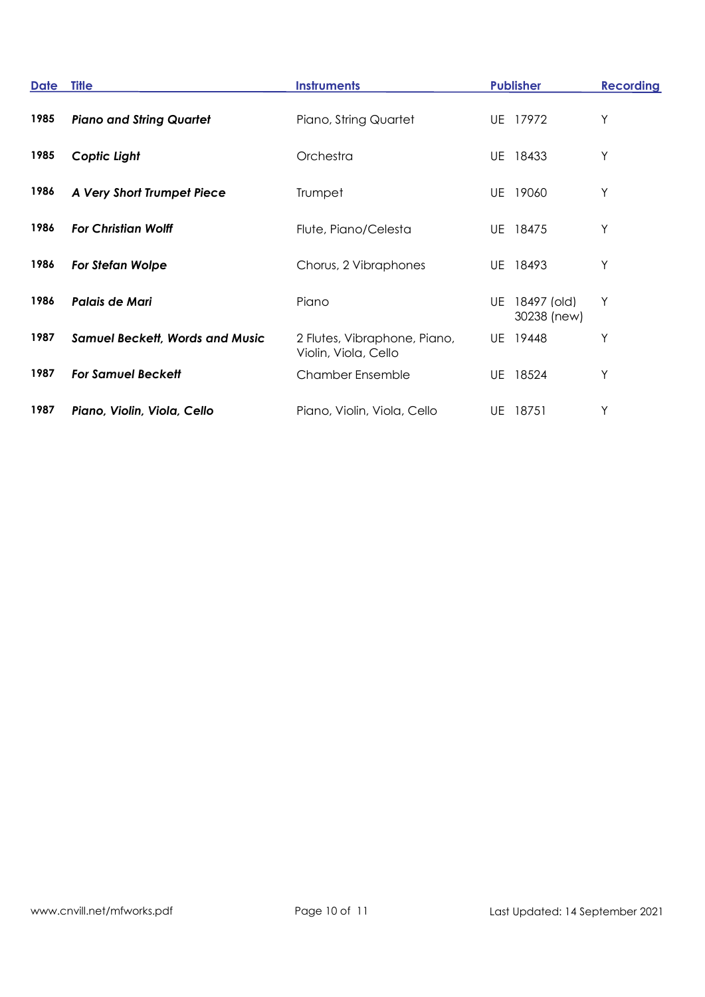| <b>Date</b> | <b>Title</b>                           | <b>Instruments</b>                                   | <b>Publisher</b>                 | <b>Recording</b> |
|-------------|----------------------------------------|------------------------------------------------------|----------------------------------|------------------|
| 1985        | <b>Piano and String Quartet</b>        | Piano, String Quartet                                | 17972<br>UE                      | Υ                |
| 1985        | Coptic Light                           | Orchestra                                            | 18433<br>UE                      | Υ                |
| 1986        | A Very Short Trumpet Piece             | Trumpet                                              | 19060<br>UE                      | Υ                |
| 1986        | <b>For Christian Wolff</b>             | Flute, Piano/Celesta                                 | 18475<br>UE                      | Υ                |
| 1986        | For Stefan Wolpe                       | Chorus, 2 Vibraphones                                | 18493<br>UE                      | Υ                |
| 1986        | Palais de Mari                         | Piano                                                | 18497 (old)<br>UE<br>30238 (new) | Υ                |
| 1987        | <b>Samuel Beckett, Words and Music</b> | 2 Flutes, Vibraphone, Piano,<br>Violin, Viola, Cello | UE 19448                         | Υ                |
| 1987        | <b>For Samuel Beckett</b>              | <b>Chamber Ensemble</b>                              | 18524<br>UE                      | Υ                |
| 1987        | Piano, Violin, Viola, Cello            | Piano, Violin, Viola, Cello                          | UE 18751                         | Υ                |